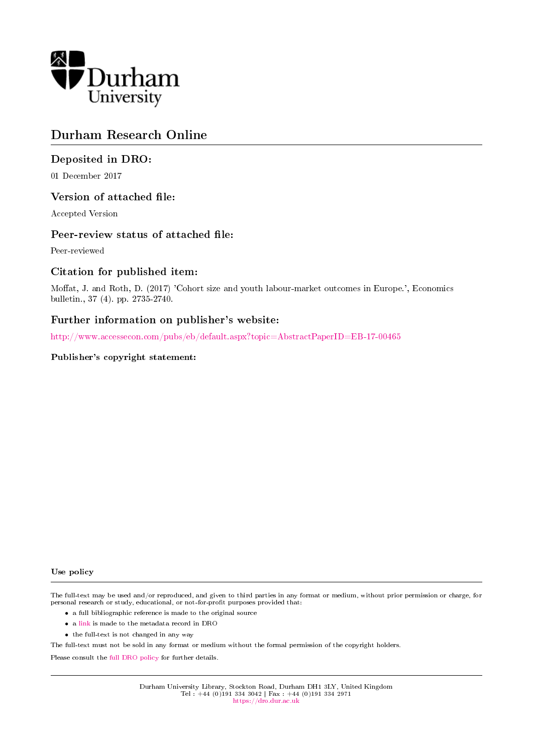

# Durham Research Online

## Deposited in DRO:

01 December 2017

### Version of attached file:

Accepted Version

#### Peer-review status of attached file:

Peer-reviewed

### Citation for published item:

Moffat, J. and Roth, D. (2017) 'Cohort size and youth labour-market outcomes in Europe.', Economics bulletin., 37 (4). pp. 2735-2740.

## Further information on publisher's website:

[http://www.accessecon.com/pubs/eb/default.aspx?topic=AbstractPaperID=EB-17-00465](http://www.accessecon.com/pubs/eb/default.aspx?topic=Abstract&PaperID=EB-17-00465)

#### Publisher's copyright statement:

#### Use policy

The full-text may be used and/or reproduced, and given to third parties in any format or medium, without prior permission or charge, for personal research or study, educational, or not-for-profit purposes provided that:

- a full bibliographic reference is made to the original source
- a [link](http://dro.dur.ac.uk/23604/) is made to the metadata record in DRO
- the full-text is not changed in any way

The full-text must not be sold in any format or medium without the formal permission of the copyright holders.

Please consult the [full DRO policy](https://dro.dur.ac.uk/policies/usepolicy.pdf) for further details.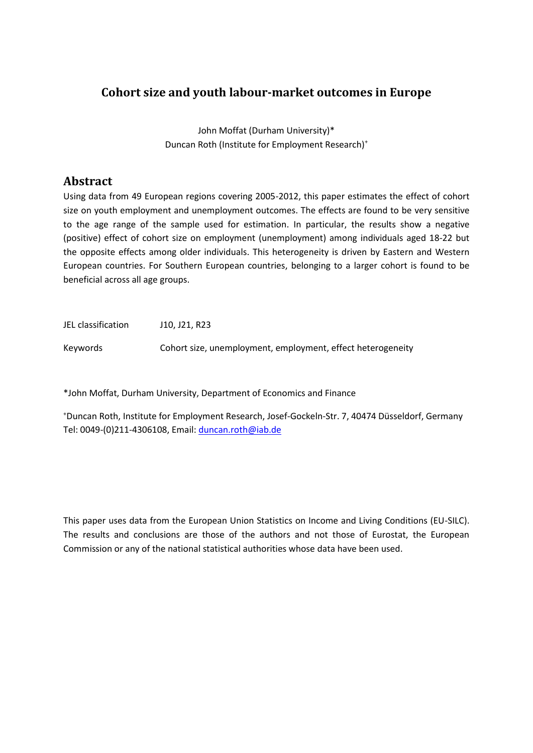# **Cohort size and youth labour-market outcomes in Europe**

John Moffat (Durham University)\* Duncan Roth (Institute for Employment Research)<sup>+</sup>

## **Abstract**

Using data from 49 European regions covering 2005-2012, this paper estimates the effect of cohort size on youth employment and unemployment outcomes. The effects are found to be very sensitive to the age range of the sample used for estimation. In particular, the results show a negative (positive) effect of cohort size on employment (unemployment) among individuals aged 18-22 but the opposite effects among older individuals. This heterogeneity is driven by Eastern and Western European countries. For Southern European countries, belonging to a larger cohort is found to be beneficial across all age groups.

JEL classification J10, J21, R23

Keywords Cohort size, unemployment, employment, effect heterogeneity

\*John Moffat, Durham University, Department of Economics and Finance

<sup>+</sup>Duncan Roth, Institute for Employment Research, Josef-Gockeln-Str. 7, 40474 Düsseldorf, Germany Tel: 0049-(0)211-4306108, Email: [duncan.roth@iab.de](mailto:duncan.roth@iab.de)

This paper uses data from the European Union Statistics on Income and Living Conditions (EU-SILC). The results and conclusions are those of the authors and not those of Eurostat, the European Commission or any of the national statistical authorities whose data have been used.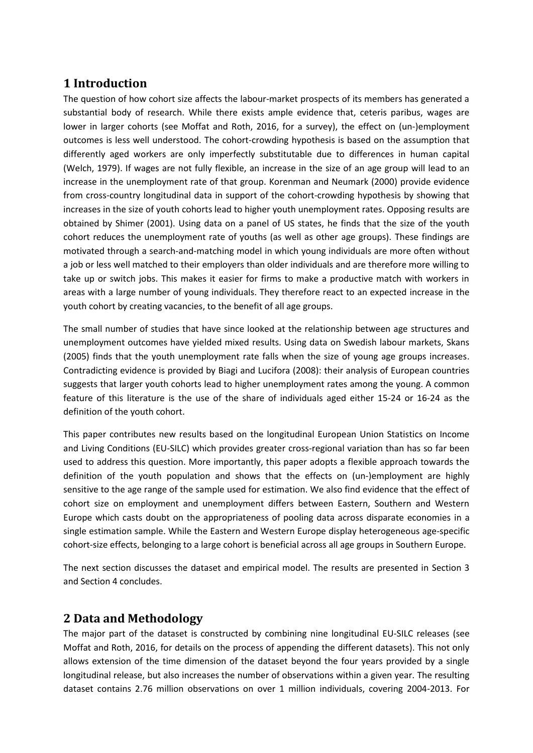# **1 Introduction**

The question of how cohort size affects the labour-market prospects of its members has generated a substantial body of research. While there exists ample evidence that, ceteris paribus, wages are lower in larger cohorts (see Moffat and Roth, 2016, for a survey), the effect on (un-)employment outcomes is less well understood. The cohort-crowding hypothesis is based on the assumption that differently aged workers are only imperfectly substitutable due to differences in human capital (Welch, 1979). If wages are not fully flexible, an increase in the size of an age group will lead to an increase in the unemployment rate of that group. Korenman and Neumark (2000) provide evidence from cross-country longitudinal data in support of the cohort-crowding hypothesis by showing that increases in the size of youth cohorts lead to higher youth unemployment rates. Opposing results are obtained by Shimer (2001). Using data on a panel of US states, he finds that the size of the youth cohort reduces the unemployment rate of youths (as well as other age groups). These findings are motivated through a search-and-matching model in which young individuals are more often without a job or less well matched to their employers than older individuals and are therefore more willing to take up or switch jobs. This makes it easier for firms to make a productive match with workers in areas with a large number of young individuals. They therefore react to an expected increase in the youth cohort by creating vacancies, to the benefit of all age groups.

The small number of studies that have since looked at the relationship between age structures and unemployment outcomes have yielded mixed results. Using data on Swedish labour markets, Skans (2005) finds that the youth unemployment rate falls when the size of young age groups increases. Contradicting evidence is provided by Biagi and Lucifora (2008): their analysis of European countries suggests that larger youth cohorts lead to higher unemployment rates among the young. A common feature of this literature is the use of the share of individuals aged either 15-24 or 16-24 as the definition of the youth cohort.

This paper contributes new results based on the longitudinal European Union Statistics on Income and Living Conditions (EU-SILC) which provides greater cross-regional variation than has so far been used to address this question. More importantly, this paper adopts a flexible approach towards the definition of the youth population and shows that the effects on (un-)employment are highly sensitive to the age range of the sample used for estimation. We also find evidence that the effect of cohort size on employment and unemployment differs between Eastern, Southern and Western Europe which casts doubt on the appropriateness of pooling data across disparate economies in a single estimation sample. While the Eastern and Western Europe display heterogeneous age-specific cohort-size effects, belonging to a large cohort is beneficial across all age groups in Southern Europe.

The next section discusses the dataset and empirical model. The results are presented in Section 3 and Section 4 concludes.

## **2 Data and Methodology**

The major part of the dataset is constructed by combining nine longitudinal EU-SILC releases (see Moffat and Roth, 2016, for details on the process of appending the different datasets). This not only allows extension of the time dimension of the dataset beyond the four years provided by a single longitudinal release, but also increases the number of observations within a given year. The resulting dataset contains 2.76 million observations on over 1 million individuals, covering 2004-2013. For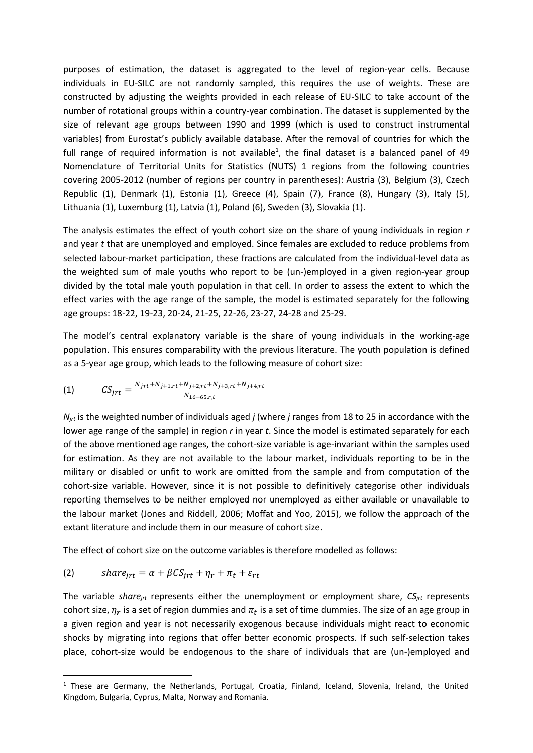purposes of estimation, the dataset is aggregated to the level of region-year cells. Because individuals in EU-SILC are not randomly sampled, this requires the use of weights. These are constructed by adjusting the weights provided in each release of EU-SILC to take account of the number of rotational groups within a country-year combination. The dataset is supplemented by the size of relevant age groups between 1990 and 1999 (which is used to construct instrumental variables) from Eurostat's publicly available database. After the removal of countries for which the full range of required information is not available<sup>1</sup>, the final dataset is a balanced panel of 49 Nomenclature of Territorial Units for Statistics (NUTS) 1 regions from the following countries covering 2005-2012 (number of regions per country in parentheses): Austria (3), Belgium (3), Czech Republic (1), Denmark (1), Estonia (1), Greece (4), Spain (7), France (8), Hungary (3), Italy (5), Lithuania (1), Luxemburg (1), Latvia (1), Poland (6), Sweden (3), Slovakia (1).

The analysis estimates the effect of youth cohort size on the share of young individuals in region *r* and year *t* that are unemployed and employed. Since females are excluded to reduce problems from selected labour-market participation, these fractions are calculated from the individual-level data as the weighted sum of male youths who report to be (un-)employed in a given region-year group divided by the total male youth population in that cell. In order to assess the extent to which the effect varies with the age range of the sample, the model is estimated separately for the following age groups: 18-22, 19-23, 20-24, 21-25, 22-26, 23-27, 24-28 and 25-29.

The model's central explanatory variable is the share of young individuals in the working-age population. This ensures comparability with the previous literature. The youth population is defined as a 5-year age group, which leads to the following measure of cohort size:

(1) 
$$
CS_{jrt} = \frac{N_{jrt} + N_{j+1,rt} + N_{j+2,rt} + N_{j+3,rt} + N_{j+4,rt}}{N_{16-65,r,t}}
$$

*Njrt* is the weighted number of individuals aged *j* (where *j* ranges from 18 to 25 in accordance with the lower age range of the sample) in region *r* in year *t*. Since the model is estimated separately for each of the above mentioned age ranges, the cohort-size variable is age-invariant within the samples used for estimation. As they are not available to the labour market, individuals reporting to be in the military or disabled or unfit to work are omitted from the sample and from computation of the cohort-size variable. However, since it is not possible to definitively categorise other individuals reporting themselves to be neither employed nor unemployed as either available or unavailable to the labour market (Jones and Riddell, 2006; Moffat and Yoo, 2015), we follow the approach of the extant literature and include them in our measure of cohort size.

The effect of cohort size on the outcome variables is therefore modelled as follows:

(2) 
$$
share_{jrt} = \alpha + \beta CS_{jrt} + \eta_r + \pi_t + \varepsilon_{rt}
$$

1

The variable *sharejrt* represents either the unemployment or employment share, *CSjrt* represents cohort size,  $\eta_r$  is a set of region dummies and  $\pi_t$  is a set of time dummies. The size of an age group in a given region and year is not necessarily exogenous because individuals might react to economic shocks by migrating into regions that offer better economic prospects. If such self-selection takes place, cohort-size would be endogenous to the share of individuals that are (un-)employed and

<sup>&</sup>lt;sup>1</sup> These are Germany, the Netherlands, Portugal, Croatia, Finland, Iceland, Slovenia, Ireland, the United Kingdom, Bulgaria, Cyprus, Malta, Norway and Romania.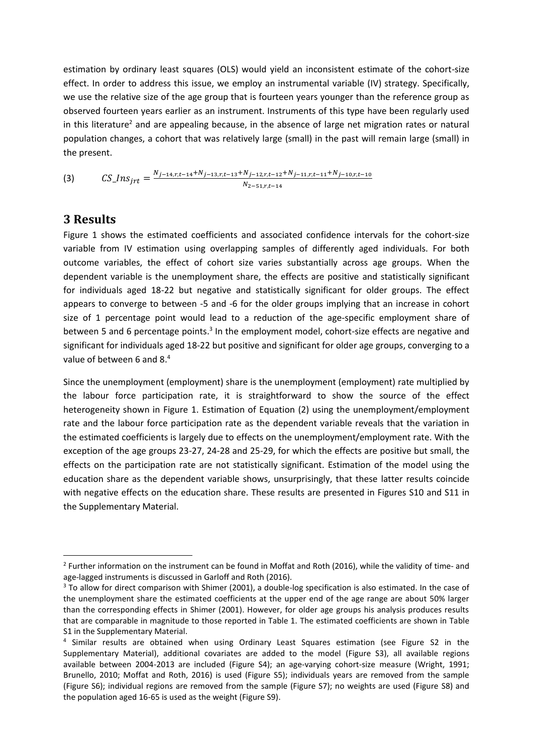estimation by ordinary least squares (OLS) would yield an inconsistent estimate of the cohort-size effect. In order to address this issue, we employ an instrumental variable (IV) strategy. Specifically, we use the relative size of the age group that is fourteen years younger than the reference group as observed fourteen years earlier as an instrument. Instruments of this type have been regularly used in this literature<sup>2</sup> and are appealing because, in the absence of large net migration rates or natural population changes, a cohort that was relatively large (small) in the past will remain large (small) in the present.

(3) 
$$
CS_{\_}J_{n} = \frac{N_{j-14,r,t-14} + N_{j-13,r,t-13} + N_{j-12,r,t-12} + N_{j-11,r,t-11} + N_{j-10,r,t-10}}{N_{2-51,r,t-14}}
$$

## **3 Results**

**.** 

Figure 1 shows the estimated coefficients and associated confidence intervals for the cohort-size variable from IV estimation using overlapping samples of differently aged individuals. For both outcome variables, the effect of cohort size varies substantially across age groups. When the dependent variable is the unemployment share, the effects are positive and statistically significant for individuals aged 18-22 but negative and statistically significant for older groups. The effect appears to converge to between -5 and -6 for the older groups implying that an increase in cohort size of 1 percentage point would lead to a reduction of the age-specific employment share of between 5 and 6 percentage points.<sup>3</sup> In the employment model, cohort-size effects are negative and significant for individuals aged 18-22 but positive and significant for older age groups, converging to a value of between 6 and 8.<sup>4</sup>

Since the unemployment (employment) share is the unemployment (employment) rate multiplied by the labour force participation rate, it is straightforward to show the source of the effect heterogeneity shown in Figure 1. Estimation of Equation (2) using the unemployment/employment rate and the labour force participation rate as the dependent variable reveals that the variation in the estimated coefficients is largely due to effects on the unemployment/employment rate. With the exception of the age groups 23-27, 24-28 and 25-29, for which the effects are positive but small, the effects on the participation rate are not statistically significant. Estimation of the model using the education share as the dependent variable shows, unsurprisingly, that these latter results coincide with negative effects on the education share. These results are presented in Figures S10 and S11 in the Supplementary Material.

<sup>&</sup>lt;sup>2</sup> Further information on the instrument can be found in Moffat and Roth (2016), while the validity of time- and age-lagged instruments is discussed in Garloff and Roth (2016).

<sup>&</sup>lt;sup>3</sup> To allow for direct comparison with Shimer (2001), a double-log specification is also estimated. In the case of the unemployment share the estimated coefficients at the upper end of the age range are about 50% larger than the corresponding effects in Shimer (2001). However, for older age groups his analysis produces results that are comparable in magnitude to those reported in Table 1. The estimated coefficients are shown in Table S1 in the Supplementary Material.

<sup>&</sup>lt;sup>4</sup> Similar results are obtained when using Ordinary Least Squares estimation (see Figure S2 in the Supplementary Material), additional covariates are added to the model (Figure S3), all available regions available between 2004-2013 are included (Figure S4); an age-varying cohort-size measure (Wright, 1991; Brunello, 2010; Moffat and Roth, 2016) is used (Figure S5); individuals years are removed from the sample (Figure S6); individual regions are removed from the sample (Figure S7); no weights are used (Figure S8) and the population aged 16-65 is used as the weight (Figure S9).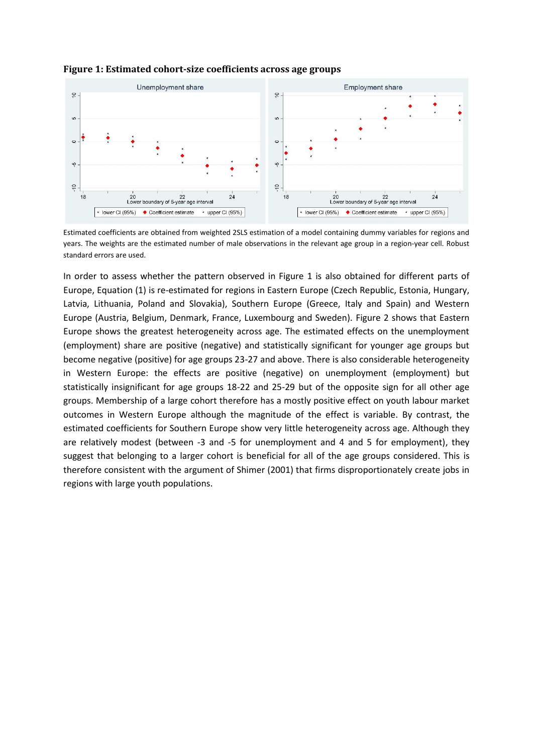

#### **Figure 1: Estimated cohort-size coefficients across age groups**

Estimated coefficients are obtained from weighted 2SLS estimation of a model containing dummy variables for regions and years. The weights are the estimated number of male observations in the relevant age group in a region-year cell. Robust standard errors are used.

In order to assess whether the pattern observed in Figure 1 is also obtained for different parts of Europe, Equation (1) is re-estimated for regions in Eastern Europe (Czech Republic, Estonia, Hungary, Latvia, Lithuania, Poland and Slovakia), Southern Europe (Greece, Italy and Spain) and Western Europe (Austria, Belgium, Denmark, France, Luxembourg and Sweden). Figure 2 shows that Eastern Europe shows the greatest heterogeneity across age. The estimated effects on the unemployment (employment) share are positive (negative) and statistically significant for younger age groups but become negative (positive) for age groups 23-27 and above. There is also considerable heterogeneity in Western Europe: the effects are positive (negative) on unemployment (employment) but statistically insignificant for age groups 18-22 and 25-29 but of the opposite sign for all other age groups. Membership of a large cohort therefore has a mostly positive effect on youth labour market outcomes in Western Europe although the magnitude of the effect is variable. By contrast, the estimated coefficients for Southern Europe show very little heterogeneity across age. Although they are relatively modest (between -3 and -5 for unemployment and 4 and 5 for employment), they suggest that belonging to a larger cohort is beneficial for all of the age groups considered. This is therefore consistent with the argument of Shimer (2001) that firms disproportionately create jobs in regions with large youth populations.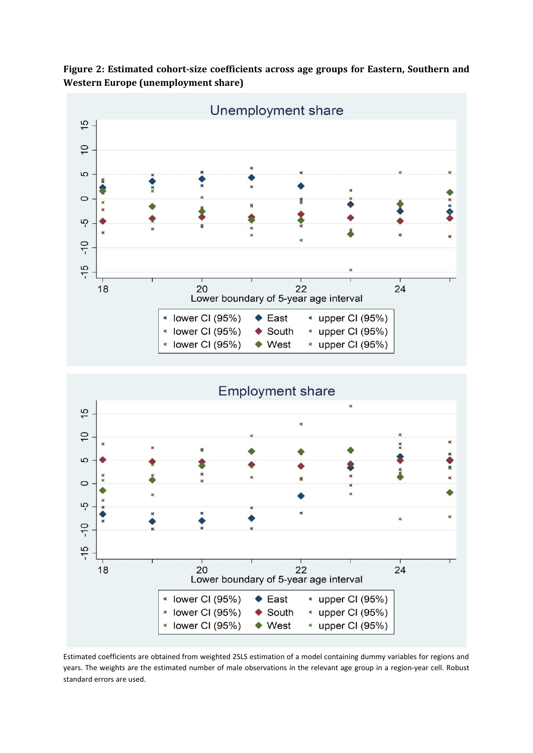**Figure 2: Estimated cohort-size coefficients across age groups for Eastern, Southern and Western Europe (unemployment share)**



Estimated coefficients are obtained from weighted 2SLS estimation of a model containing dummy variables for regions and years. The weights are the estimated number of male observations in the relevant age group in a region-year cell. Robust standard errors are used.

 $\bullet$  South

 $\bullet$  West

\* upper CI (95%)

 $*$  upper CI (95%)

\* lower CI (95%)

\* lower CI (95%)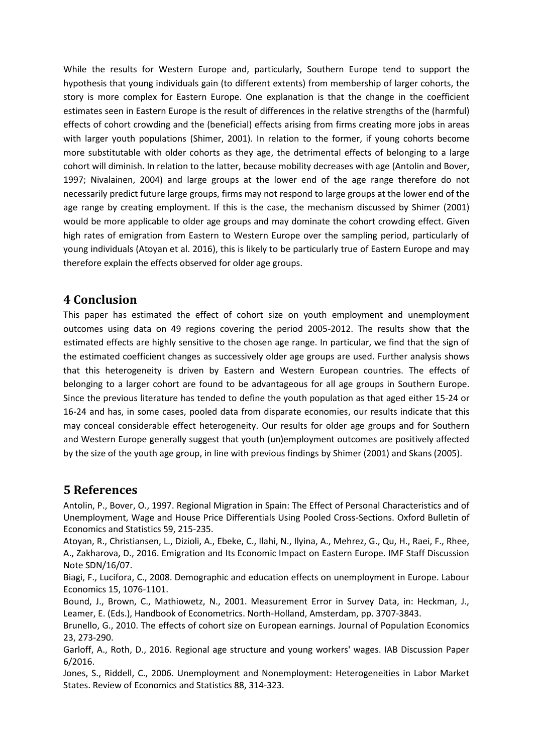While the results for Western Europe and, particularly, Southern Europe tend to support the hypothesis that young individuals gain (to different extents) from membership of larger cohorts, the story is more complex for Eastern Europe. One explanation is that the change in the coefficient estimates seen in Eastern Europe is the result of differences in the relative strengths of the (harmful) effects of cohort crowding and the (beneficial) effects arising from firms creating more jobs in areas with larger youth populations (Shimer, 2001). In relation to the former, if young cohorts become more substitutable with older cohorts as they age, the detrimental effects of belonging to a large cohort will diminish. In relation to the latter, because mobility decreases with age (Antolin and Bover, 1997; Nivalainen, 2004) and large groups at the lower end of the age range therefore do not necessarily predict future large groups, firms may not respond to large groups at the lower end of the age range by creating employment. If this is the case, the mechanism discussed by Shimer (2001) would be more applicable to older age groups and may dominate the cohort crowding effect. Given high rates of emigration from Eastern to Western Europe over the sampling period, particularly of young individuals (Atoyan et al. 2016), this is likely to be particularly true of Eastern Europe and may therefore explain the effects observed for older age groups.

## **4 Conclusion**

This paper has estimated the effect of cohort size on youth employment and unemployment outcomes using data on 49 regions covering the period 2005-2012. The results show that the estimated effects are highly sensitive to the chosen age range. In particular, we find that the sign of the estimated coefficient changes as successively older age groups are used. Further analysis shows that this heterogeneity is driven by Eastern and Western European countries. The effects of belonging to a larger cohort are found to be advantageous for all age groups in Southern Europe. Since the previous literature has tended to define the youth population as that aged either 15-24 or 16-24 and has, in some cases, pooled data from disparate economies, our results indicate that this may conceal considerable effect heterogeneity. Our results for older age groups and for Southern and Western Europe generally suggest that youth (un)employment outcomes are positively affected by the size of the youth age group, in line with previous findings by Shimer (2001) and Skans (2005).

## **5 References**

Antolin, P., Bover, O., 1997. Regional Migration in Spain: The Effect of Personal Characteristics and of Unemployment, Wage and House Price Differentials Using Pooled Cross-Sections. Oxford Bulletin of Economics and Statistics 59, 215-235.

Atoyan, R., Christiansen, L., Dizioli, A., Ebeke, C., Ilahi, N., Ilyina, A., Mehrez, G., Qu, H., Raei, F., Rhee, A., Zakharova, D., 2016. Emigration and Its Economic Impact on Eastern Europe. IMF Staff Discussion Note SDN/16/07.

Biagi, F., Lucifora, C., 2008. Demographic and education effects on unemployment in Europe. Labour Economics 15, 1076-1101.

Bound, J., Brown, C., Mathiowetz, N., 2001. Measurement Error in Survey Data, in: Heckman, J., Leamer, E. (Eds.), Handbook of Econometrics. North-Holland, Amsterdam, pp. 3707-3843.

Brunello, G., 2010. The effects of cohort size on European earnings. Journal of Population Economics 23, 273-290.

Garloff, A., Roth, D., 2016. Regional age structure and young workers' wages. IAB Discussion Paper 6/2016.

Jones, S., Riddell, C., 2006. Unemployment and Nonemployment: Heterogeneities in Labor Market States. Review of Economics and Statistics 88, 314-323.